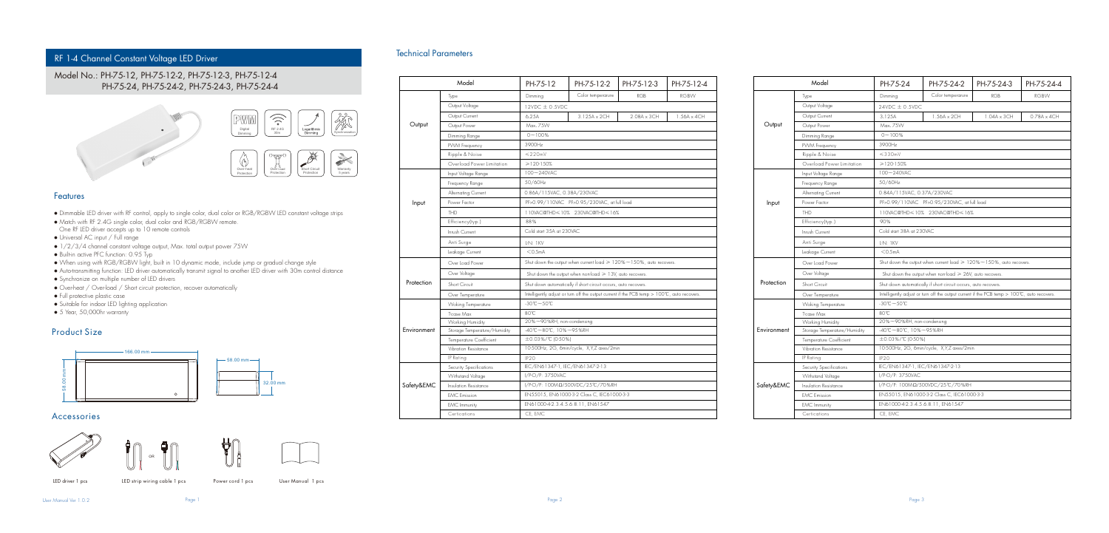# RF 1-4 Channel Constant Voltage LED Driver

# Model No.: PH-75-12, PH-75-12-2, PH-75-12-3, PH-75-12-4 PH-75-24, PH-75-24-2, PH-75-24-3, PH-75-24-4



### Features

- Dimmable LED driver with RF control, apply to single color, dual color or RGB/RGBW LED constant voltage strips
- Match with RF 2.4G single color, dual color and RGB/RGBW remote. One RF LED driver accepts up to 10 remote controls
- Universal AC input / Full range
- 1/2/3/4 channel constant voltage output, Max. total output power 75W
- Built-in active PFC function: 0.95 Typ
- When using with RGB/RGBW light, built in 10 dynamic mode, include jump or gradual change style
- Auto-transmitting function: LED driver automatically transmit signal to another LED driver with 30m control distance
- Synchronize on multiple number of LED drivers
- Over-heat / Over-load / Short circuit protection, recover automatically
- Full protective plastic case
- Suitable for indoor LED lighting application
- 5 Year, 50,000hr warranty

## Product Size



## Accessories









LED driver 1 pcs LED strip wiring cable 1 pcs Power cord 1 pcs User Manual 1 pcs

User Manual Ver 1.0.2

## Technical Parameters

|             | Model                        | PH-75-12                                                                                    | PH-75-12-2        | PH-75-12-3  | PH-75-12-4  |  |  |
|-------------|------------------------------|---------------------------------------------------------------------------------------------|-------------------|-------------|-------------|--|--|
|             | Type                         | Dimming                                                                                     | Color temperarure | <b>RGB</b>  | <b>RGBW</b> |  |  |
|             | Output Voltage               | $12VDC \pm 0.5VDC$                                                                          |                   |             |             |  |  |
| Output      | Output Current               | 6.25A                                                                                       | 3.125A x 2CH      | 2.08A x 3CH | 1.56A x 4CH |  |  |
|             | Output Power                 | Max, 75W                                                                                    |                   |             |             |  |  |
|             | Dimming Range                | $0 - 100%$                                                                                  |                   |             |             |  |  |
|             | PWM Frequency                | 3900Hz                                                                                      |                   |             |             |  |  |
|             | Ripple & Noise               | $< 220$ mV                                                                                  |                   |             |             |  |  |
|             | Overload Power Limitation    | $>120 - 150%$                                                                               |                   |             |             |  |  |
|             | Input Voltage Range          | 100~240VAC                                                                                  |                   |             |             |  |  |
|             | Frequency Range              | 50/60Hz                                                                                     |                   |             |             |  |  |
|             | Alternating Current          | 0.86A/115VAC, 0.38A/230VAC                                                                  |                   |             |             |  |  |
| Input       | Power Factor                 | PF>0.99/110VAC PF>0.95/230VAC, at full load                                                 |                   |             |             |  |  |
|             | <b>THD</b>                   | 110VAC@THD<10% 230VAC@THD<16%                                                               |                   |             |             |  |  |
|             | Efficiency(typ.)             | 88%                                                                                         |                   |             |             |  |  |
|             | Inrush Current               | Cold start 35A at 230VAC                                                                    |                   |             |             |  |  |
|             | Anti Surge                   | L-N: 1 KV                                                                                   |                   |             |             |  |  |
|             | Leakage Current              | $<$ 0.5mA                                                                                   |                   |             |             |  |  |
|             | Over Load Power              | Shut down the output when current load $\geq 120\%$ ~ 150%, auto recovers.                  |                   |             |             |  |  |
|             | Over Voltage                 | Shut down the output when non-load $\geq 13$ V, auto recovers.                              |                   |             |             |  |  |
| Protection  | Short Circuit                | Shut down automatically if short circuit occurs, auto recovers.                             |                   |             |             |  |  |
|             | Over Temperature             | Intelligently adjust or turn off the output current if the PCB temp > 100°C, auto recovers. |                   |             |             |  |  |
|             | <b>Woking Temperature</b>    | $-30^{\circ}\text{C} - 50^{\circ}\text{C}$                                                  |                   |             |             |  |  |
|             | T-case Max                   | 80°C                                                                                        |                   |             |             |  |  |
|             | Working Humidity             | 20%~90%RH, non-condensing                                                                   |                   |             |             |  |  |
| Environment | Storage Temperature/Humidity | -40°C~80°C, 10%~95%RH                                                                       |                   |             |             |  |  |
|             | Temperature Coefficient      | ±0.03%/°C (0-50%)                                                                           |                   |             |             |  |  |
|             | Vibration Resistance         | 10-500Hz, 2G, 6min/cycle, X,Y,Z axes/2min                                                   |                   |             |             |  |  |
|             | IP Rating                    | <b>IP20</b>                                                                                 |                   |             |             |  |  |
|             | Security Specifications      | IEC/EN61347-1, IEC/EN61347-2-13                                                             |                   |             |             |  |  |
|             | Withstand Voltage            | I/P-O/P: 3750VAC                                                                            |                   |             |             |  |  |
| Safety&EMC  | Insulation Resistance        | I/P-O/P: 100ΜΩ/500VDC/25°C/70%RH                                                            |                   |             |             |  |  |
|             | <b>EMC</b> Emission          | EN55015, EN61000-3-2 Class C, IEC61000-3-3                                                  |                   |             |             |  |  |
|             | <b>EMC</b> Immunity          | EN61000-4-2.3.4.5.6.8.11, EN61547                                                           |                   |             |             |  |  |
|             | Certications                 | CE, EMC                                                                                     |                   |             |             |  |  |

|             | Model                        | PH-75-24                                                                                    | PH-75-24-2        | PH-75-24-3         | PH-75-24-4         |  |  |  |
|-------------|------------------------------|---------------------------------------------------------------------------------------------|-------------------|--------------------|--------------------|--|--|--|
|             | Type                         | Dimming                                                                                     | Color temperarure | <b>RGB</b>         | <b>RGBW</b>        |  |  |  |
|             | Output Voltage               | $24VDC \pm 0.5VDC$                                                                          |                   |                    |                    |  |  |  |
| Output      | Output Current               | 3.125A                                                                                      | 1.56A x 2CH       | $1.04A \times 3CH$ | $0.78A \times 4CH$ |  |  |  |
|             | Output Power                 | Max, 75W                                                                                    |                   |                    |                    |  |  |  |
|             | Dimming Range                | $0 - 100%$                                                                                  |                   |                    |                    |  |  |  |
|             | PVVM Frequency               | 3900Hz                                                                                      |                   |                    |                    |  |  |  |
|             | Ripple & Noise               | $<$ 330mV                                                                                   |                   |                    |                    |  |  |  |
|             | Overload Power Limitation    | $>120-150%$                                                                                 |                   |                    |                    |  |  |  |
|             | Input Voltage Range          | 100~240VAC                                                                                  |                   |                    |                    |  |  |  |
|             | Frequency Range              | 50/60Hz                                                                                     |                   |                    |                    |  |  |  |
|             | Alternating Current          | 0.84A/115VAC, 0.37A/230VAC                                                                  |                   |                    |                    |  |  |  |
| Input       | Power Factor                 | PF>0.99/110VAC PF>0.95/230VAC, at full load                                                 |                   |                    |                    |  |  |  |
|             | THD                          | 110VAC@THD≤10% 230VAC@THD≤16%                                                               |                   |                    |                    |  |  |  |
|             | Efficiency[typ.]             | 90%                                                                                         |                   |                    |                    |  |  |  |
|             | Inrush Current               | Cold start 38A at 230VAC                                                                    |                   |                    |                    |  |  |  |
|             | Anti Surge                   | L-N: IKV                                                                                    |                   |                    |                    |  |  |  |
|             | Leakage Current              | $<$ 0.5mA                                                                                   |                   |                    |                    |  |  |  |
|             | Over Load Power              | Shut down the output when current load $\geq 120\%$ ~ 150%, auto recovers.                  |                   |                    |                    |  |  |  |
|             | Over Voltage                 | Shut down the output when non-load $\geq 26V$ , auto recovers.                              |                   |                    |                    |  |  |  |
| Protection  | Short Circuit                | Shut down automatically if short circuit occurs, auto recovers.                             |                   |                    |                    |  |  |  |
|             | Over Temperature             | Intelligently adjust or turn off the output current if the PCB temp > 100°C, auto recovers. |                   |                    |                    |  |  |  |
|             | Woking Temperature           | $-30^{\circ}\text{C} - 50^{\circ}\text{C}$                                                  |                   |                    |                    |  |  |  |
|             | T-case Max                   | 80°C                                                                                        |                   |                    |                    |  |  |  |
|             | Working Humidity             | 20%~90%RH, non-condensing                                                                   |                   |                    |                    |  |  |  |
| Environment | Storage Temperature/Humidity | -40°C~80°C, 10%~95%RH                                                                       |                   |                    |                    |  |  |  |
|             | Temperature Coefficient      | ±0.03%/℃ (0-50%)                                                                            |                   |                    |                    |  |  |  |
|             | Vibration Resistance         | 10-500Hz, 2G, 6min/cycle, X,Y,Z axes/2min                                                   |                   |                    |                    |  |  |  |
|             | IP Rating                    | IP <sub>20</sub>                                                                            |                   |                    |                    |  |  |  |
|             | Security Specifications      | IEC/EN61347-1, IEC/EN61347-2-13                                                             |                   |                    |                    |  |  |  |
|             | Withstand Voltage            | I/P-O/P: 3750VAC                                                                            |                   |                    |                    |  |  |  |
| Safety&EMC  | Insulation Resistance        | I/P-O/P: 100ΜΩ/500VDC/25°C/70%RH                                                            |                   |                    |                    |  |  |  |
|             | <b>EMC</b> Emission          | EN55015, EN61000-3-2 Class C, IEC61000-3-3                                                  |                   |                    |                    |  |  |  |
|             | <b>EMC</b> Immunity          | EN61000-4-2.3.4.5.6.8.11, EN61547                                                           |                   |                    |                    |  |  |  |
|             | Certications                 | CE, EMC                                                                                     |                   |                    |                    |  |  |  |